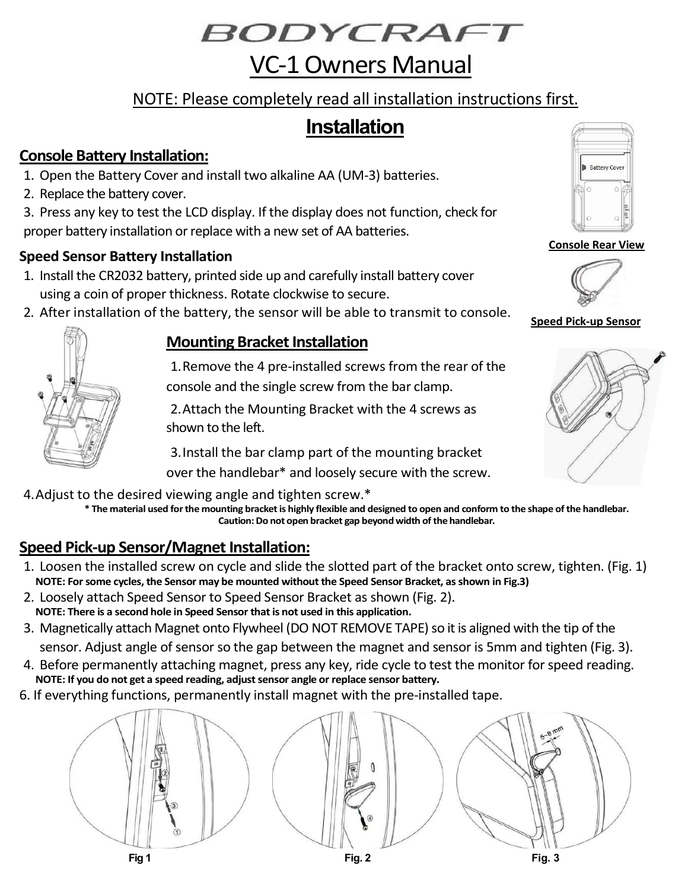BODYCRAFT

# VC-1 Owners Manual

## NOTE: Please completely read all installation instructions first.

# **Installation**

## **Console Battery Installation:**

- 1. Open the Battery Cover and install two alkaline AA (UM-3) batteries.
- 2. Replace the battery cover.
- 3. Press any key to test the LCD display. If the display does not function, check for proper battery installation or replace with a new set of AA batteries.

## **Speed Sensor Battery Installation**

- 1. Install the CR2032 battery, printed side up and carefully install battery cover using a coin of proper thickness. Rotate clockwise to secure.
- 2. After installation of the battery, the sensor will be able to transmit to console.

## **Mounting Bracket Installation**

1.Remove the 4 pre-installed screws from the rear of the console and the single screw from the bar clamp.

2.Attach the Mounting Bracket with the 4 screws as shown to the left.

3.Install the bar clamp part of the mounting bracket over the handlebar\* and loosely secure with the screw.

4.Adjust to the desired viewing angle and tighten screw.\*

**\* The material used for the mounting bracket is highly flexible and designed to open and conform to the shape of the handlebar. Caution: Do not open bracket gap beyond width of the handlebar.**

## **Speed Pick-up Sensor/Magnet Installation:**

- 1. Loosen the installed screw on cycle and slide the slotted part of the bracket onto screw, tighten. (Fig. 1) **NOTE: For some cycles, the Sensor may be mounted without the Speed Sensor Bracket, as shown in Fig.3)**
- 2. Loosely attach Speed Sensor to Speed Sensor Bracket as shown (Fig. 2). **NOTE: There is a second hole in Speed Sensor that is not used in this application.**
- 3. Magnetically attach Magnet onto Flywheel (DO NOT REMOVE TAPE) so it is aligned with the tip of the sensor. Adjust angle of sensor so the gap between the magnet and sensor is 5mm and tighten (Fig. 3).
- 4. Before permanently attaching magnet, press any key, ride cycle to test the monitor for speed reading. **NOTE: If you do not get a speed reading, adjust sensor angle or replace sensor battery.**
- 6. If everything functions, permanently install magnet with the pre-installed tape.





#### **Console Rear View**



**Speed Pick-up Sensor**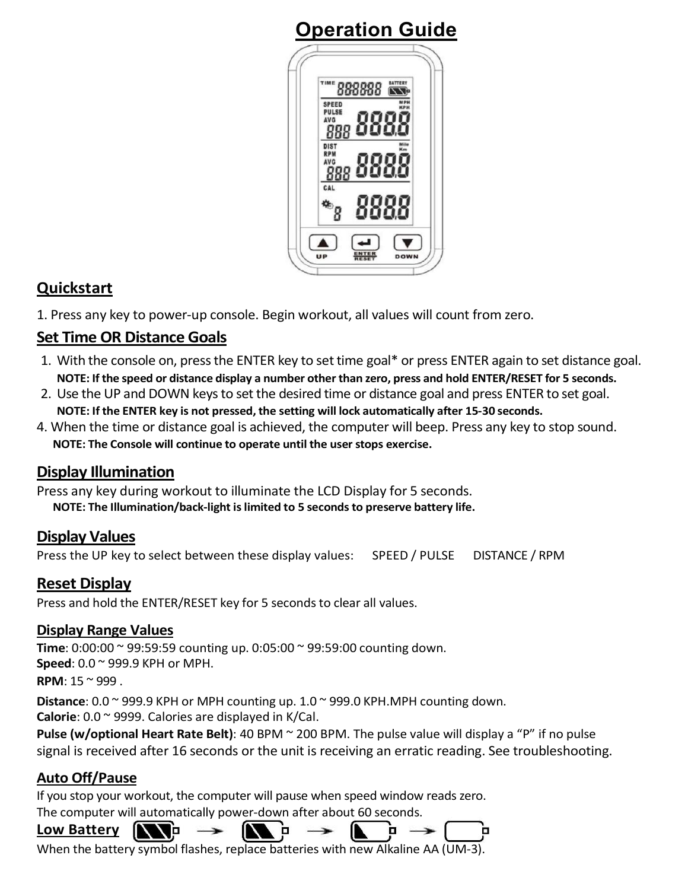# **Operation Guide**



## **Quickstart**

1. Press any key to power-up console. Begin workout, all values will count from zero.

## **Set Time OR Distance Goals**

- 1. With the console on, press the ENTER key to set time goal\* or press ENTER again to set distance goal. **NOTE: If the speed or distance display a number other than zero, press and hold ENTER/RESET for 5 seconds.**
- 2. Use the UP and DOWN keys to set the desired time or distance goal and press ENTER to set goal. **NOTE: If the ENTER key is not pressed, the setting will lock automatically after 15-30 seconds.**
- 4. When the time or distance goal is achieved, the computer will beep. Press any key to stop sound. **NOTE: The Console will continue to operate until the user stops exercise.**

## **Display Illumination**

Press any key during workout to illuminate the LCD Display for 5 seconds. **NOTE: The Illumination/back-light is limited to 5 seconds to preserve battery life.**

## **Display Values**

Press the UP key to select between these display values: SPEED / PULSE DISTANCE / RPM

## **Reset Display**

Press and hold the ENTER/RESET key for 5 seconds to clear all values.

#### **Display Range Values**

**Time**: 0:00:00 ~ 99:59:59 counting up. 0:05:00 ~ 99:59:00 counting down. **Speed**: 0.0 ~ 999.9 KPH or MPH. **RPM**:  $15 \approx 999$ .

**Distance**: 0.0 ~ 999.9 KPH or MPH counting up. 1.0 ~ 999.0 KPH.MPH counting down. **Calorie**: 0.0 ~ 9999. Calories are displayed in K/Cal.

**Pulse (w/optional Heart Rate Belt)**: 40 BPM ~ 200 BPM. The pulse value will display a "P" if no pulse signal is received after 16 seconds or the unit is receiving an erratic reading. See troubleshooting.

п

## **Auto Off/Pause**

If you stop your workout, the computer will pause when speed window reads zero.

The computer will automatically power-down after about 60 seconds.

o

#### **Low Battery**

When the battery symbol flashes, replace batteries with new Alkaline AA (UM-3).

'n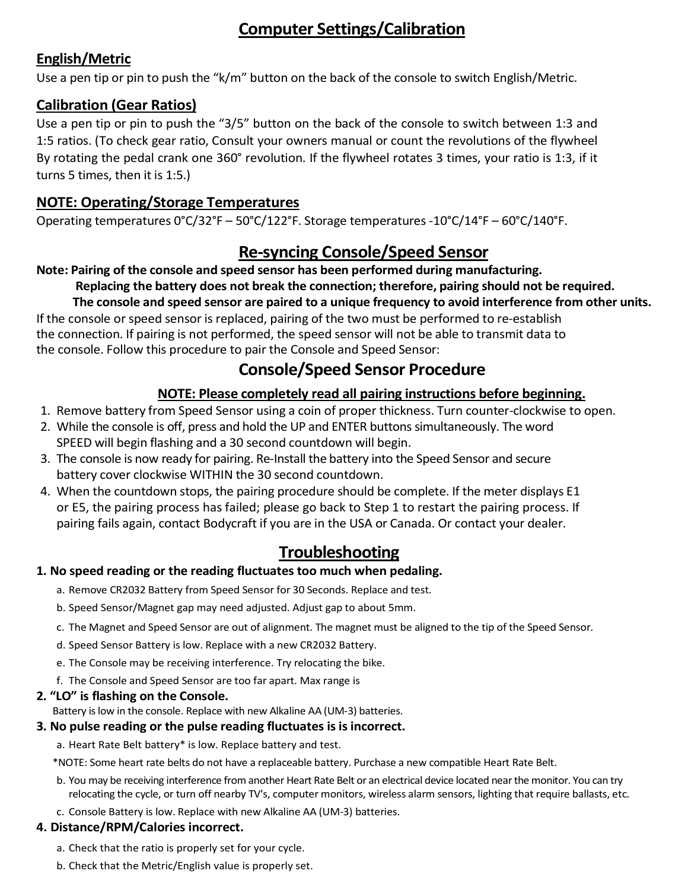## **Computer Settings/Calibration**

### **English/Metric**

Use a pen tip or pin to push the "k/m" button on the back of the console to switch English/Metric.

## **Calibration (Gear Ratios)**

Use a pen tip or pin to push the "3/5" button on the back of the console to switch between 1:3 and 1:5 ratios. (To check gear ratio, Consult your owners manual or count the revolutions of the flywheel By rotating the pedal crank one 360° revolution. If the flywheel rotates 3 times, your ratio is 1:3, if it turns 5 times, then it is 1:5.)

## **NOTE: Operating/Storage Temperatures**

Operating temperatures 0°C/32°F – 50°C/122°F. Storage temperatures -10°C/14°F – 60°C/140°F.

## **Re-syncing Console/Speed Sensor**

#### **Note: Pairing of the console and speed sensor has been performed during manufacturing.**

#### **Replacing the battery does not break the connection; therefore, pairing should not be required.**

**The console and speed sensor are paired to a unique frequency to avoid interference from other units.**  If the console or speed sensor is replaced, pairing of the two must be performed to re-establish the connection. If pairing is not performed, the speed sensor will not be able to transmit data to the console. Follow this procedure to pair the Console and Speed Sensor:

## **Console/Speed Sensor Procedure**

#### **NOTE: Please completely read all pairing instructions before beginning.**

- 1. Remove battery from Speed Sensor using a coin of proper thickness. Turn counter-clockwise to open.
- 2. While the console is off, press and hold the UP and ENTER buttons simultaneously. The word SPEED will begin flashing and a 30 second countdown will begin.
- 3. The console is now ready for pairing. Re-Install the battery into the Speed Sensor and secure battery cover clockwise WITHIN the 30 second countdown.
- 4. When the countdown stops, the pairing procedure should be complete. If the meter displays E1 or E5, the pairing process has failed; please go back to Step 1 to restart the pairing process. If pairing fails again, contact Bodycraft if you are in the USA or Canada. Or contact your dealer.

## **Troubleshooting**

#### **1. No speed reading or the reading fluctuates too much when pedaling.**

- a. Remove CR2032 Battery from Speed Sensor for 30 Seconds. Replace and test.
- b. Speed Sensor/Magnet gap may need adjusted. Adjust gap to about 5mm.
- c. The Magnet and Speed Sensor are out of alignment. The magnet must be aligned to the tip of the Speed Sensor.
- d. Speed Sensor Battery is low. Replace with a new CR2032 Battery.
- e. The Console may be receiving interference. Try relocating the bike.
- f. The Console and Speed Sensor are too far apart. Max range is

#### **2. "LO" is flashing on the Console.**

Battery is low in the console. Replace with new Alkaline AA (UM-3) batteries.

#### **3. No pulse reading or the pulse reading fluctuates is is incorrect.**

a. Heart Rate Belt battery\* is low. Replace battery and test.

\*NOTE: Some heart rate belts do not have a replaceable battery. Purchase a new compatible Heart Rate Belt.

- b. You may be receiving interference from another Heart Rate Belt or an electrical device located near the monitor. You can try relocating the cycle, or turn off nearby TV's, computer monitors, wireless alarm sensors, lighting that require ballasts, etc.
- c. Console Battery is low. Replace with new Alkaline AA (UM-3) batteries.

#### **4. Distance/RPM/Calories incorrect.**

- a. Check that the ratio is properly set for your cycle.
- b. Check that the Metric/English value is properly set.